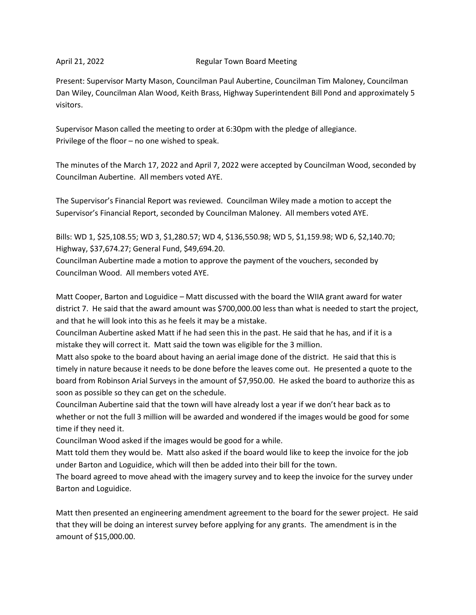### April 21, 2022 Regular Town Board Meeting

Present: Supervisor Marty Mason, Councilman Paul Aubertine, Councilman Tim Maloney, Councilman Dan Wiley, Councilman Alan Wood, Keith Brass, Highway Superintendent Bill Pond and approximately 5 visitors.

Supervisor Mason called the meeting to order at 6:30pm with the pledge of allegiance. Privilege of the floor – no one wished to speak.

The minutes of the March 17, 2022 and April 7, 2022 were accepted by Councilman Wood, seconded by Councilman Aubertine. All members voted AYE.

The Supervisor's Financial Report was reviewed. Councilman Wiley made a motion to accept the Supervisor's Financial Report, seconded by Councilman Maloney. All members voted AYE.

Bills: WD 1, \$25,108.55; WD 3, \$1,280.57; WD 4, \$136,550.98; WD 5, \$1,159.98; WD 6, \$2,140.70; Highway, \$37,674.27; General Fund, \$49,694.20.

Councilman Aubertine made a motion to approve the payment of the vouchers, seconded by Councilman Wood. All members voted AYE.

Matt Cooper, Barton and Loguidice – Matt discussed with the board the WIIA grant award for water district 7. He said that the award amount was \$700,000.00 less than what is needed to start the project, and that he will look into this as he feels it may be a mistake.

Councilman Aubertine asked Matt if he had seen this in the past. He said that he has, and if it is a mistake they will correct it. Matt said the town was eligible for the 3 million.

Matt also spoke to the board about having an aerial image done of the district. He said that this is timely in nature because it needs to be done before the leaves come out. He presented a quote to the board from Robinson Arial Surveys in the amount of \$7,950.00. He asked the board to authorize this as soon as possible so they can get on the schedule.

Councilman Aubertine said that the town will have already lost a year if we don't hear back as to whether or not the full 3 million will be awarded and wondered if the images would be good for some time if they need it.

Councilman Wood asked if the images would be good for a while.

Matt told them they would be. Matt also asked if the board would like to keep the invoice for the job under Barton and Loguidice, which will then be added into their bill for the town.

The board agreed to move ahead with the imagery survey and to keep the invoice for the survey under Barton and Loguidice.

Matt then presented an engineering amendment agreement to the board for the sewer project. He said that they will be doing an interest survey before applying for any grants. The amendment is in the amount of \$15,000.00.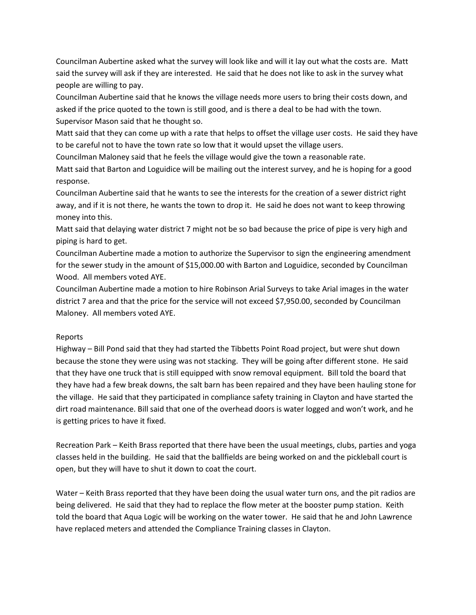Councilman Aubertine asked what the survey will look like and will it lay out what the costs are. Matt said the survey will ask if they are interested. He said that he does not like to ask in the survey what people are willing to pay.

Councilman Aubertine said that he knows the village needs more users to bring their costs down, and asked if the price quoted to the town is still good, and is there a deal to be had with the town.

Supervisor Mason said that he thought so.

Matt said that they can come up with a rate that helps to offset the village user costs. He said they have to be careful not to have the town rate so low that it would upset the village users.

Councilman Maloney said that he feels the village would give the town a reasonable rate.

Matt said that Barton and Loguidice will be mailing out the interest survey, and he is hoping for a good response.

Councilman Aubertine said that he wants to see the interests for the creation of a sewer district right away, and if it is not there, he wants the town to drop it. He said he does not want to keep throwing money into this.

Matt said that delaying water district 7 might not be so bad because the price of pipe is very high and piping is hard to get.

Councilman Aubertine made a motion to authorize the Supervisor to sign the engineering amendment for the sewer study in the amount of \$15,000.00 with Barton and Loguidice, seconded by Councilman Wood. All members voted AYE.

Councilman Aubertine made a motion to hire Robinson Arial Surveys to take Arial images in the water district 7 area and that the price for the service will not exceed \$7,950.00, seconded by Councilman Maloney. All members voted AYE.

# Reports

Highway – Bill Pond said that they had started the Tibbetts Point Road project, but were shut down because the stone they were using was not stacking. They will be going after different stone. He said that they have one truck that is still equipped with snow removal equipment. Bill told the board that they have had a few break downs, the salt barn has been repaired and they have been hauling stone for the village. He said that they participated in compliance safety training in Clayton and have started the dirt road maintenance. Bill said that one of the overhead doors is water logged and won't work, and he is getting prices to have it fixed.

Recreation Park – Keith Brass reported that there have been the usual meetings, clubs, parties and yoga classes held in the building. He said that the ballfields are being worked on and the pickleball court is open, but they will have to shut it down to coat the court.

Water – Keith Brass reported that they have been doing the usual water turn ons, and the pit radios are being delivered. He said that they had to replace the flow meter at the booster pump station. Keith told the board that Aqua Logic will be working on the water tower. He said that he and John Lawrence have replaced meters and attended the Compliance Training classes in Clayton.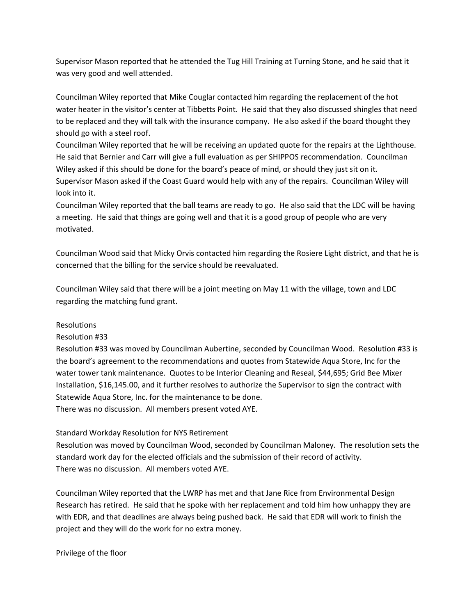Supervisor Mason reported that he attended the Tug Hill Training at Turning Stone, and he said that it was very good and well attended.

Councilman Wiley reported that Mike Couglar contacted him regarding the replacement of the hot water heater in the visitor's center at Tibbetts Point. He said that they also discussed shingles that need to be replaced and they will talk with the insurance company. He also asked if the board thought they should go with a steel roof.

Councilman Wiley reported that he will be receiving an updated quote for the repairs at the Lighthouse. He said that Bernier and Carr will give a full evaluation as per SHIPPOS recommendation. Councilman Wiley asked if this should be done for the board's peace of mind, or should they just sit on it. Supervisor Mason asked if the Coast Guard would help with any of the repairs. Councilman Wiley will look into it.

Councilman Wiley reported that the ball teams are ready to go. He also said that the LDC will be having a meeting. He said that things are going well and that it is a good group of people who are very motivated.

Councilman Wood said that Micky Orvis contacted him regarding the Rosiere Light district, and that he is concerned that the billing for the service should be reevaluated.

Councilman Wiley said that there will be a joint meeting on May 11 with the village, town and LDC regarding the matching fund grant.

# Resolutions

Resolution #33

Resolution #33 was moved by Councilman Aubertine, seconded by Councilman Wood. Resolution #33 is the board's agreement to the recommendations and quotes from Statewide Aqua Store, Inc for the water tower tank maintenance. Quotes to be Interior Cleaning and Reseal, \$44,695; Grid Bee Mixer Installation, \$16,145.00, and it further resolves to authorize the Supervisor to sign the contract with Statewide Aqua Store, Inc. for the maintenance to be done. There was no discussion. All members present voted AYE.

# Standard Workday Resolution for NYS Retirement

Resolution was moved by Councilman Wood, seconded by Councilman Maloney. The resolution sets the standard work day for the elected officials and the submission of their record of activity. There was no discussion. All members voted AYE.

Councilman Wiley reported that the LWRP has met and that Jane Rice from Environmental Design Research has retired. He said that he spoke with her replacement and told him how unhappy they are with EDR, and that deadlines are always being pushed back. He said that EDR will work to finish the project and they will do the work for no extra money.

Privilege of the floor